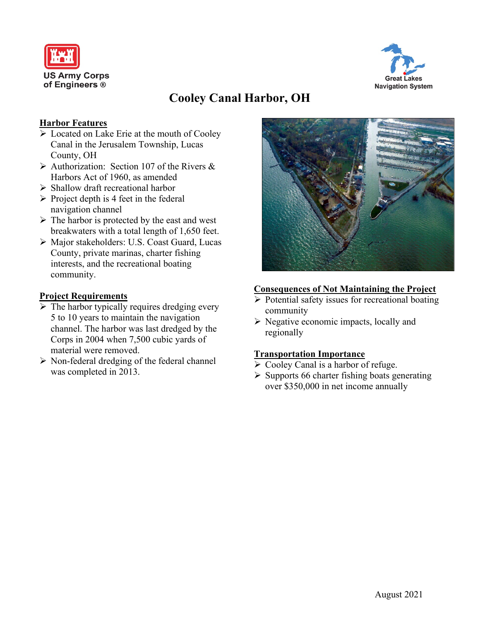



# **Cooley Canal Harbor, OH**

## **Harbor Features**

- $\triangleright$  Located on Lake Erie at the mouth of Cooley Canal in the Jerusalem Township, Lucas County, OH
- $\triangleright$  Authorization: Section 107 of the Rivers & Harbors Act of 1960, as amended
- $\triangleright$  Shallow draft recreational harbor
- $\triangleright$  Project depth is 4 feet in the federal navigation channel
- $\triangleright$  The harbor is protected by the east and west breakwaters with a total length of 1,650 feet.
- Major stakeholders: U.S. Coast Guard, Lucas County, private marinas, charter fishing interests, and the recreational boating community.

## **Project Requirements**

- $\triangleright$  The harbor typically requires dredging every 5 to 10 years to maintain the navigation channel. The harbor was last dredged by the Corps in 2004 when 7,500 cubic yards of material were removed.
- $\triangleright$  Non-federal dredging of the federal channel was completed in 2013.



#### **Consequences of Not Maintaining the Project**

- $\triangleright$  Potential safety issues for recreational boating community
- $\triangleright$  Negative economic impacts, locally and regionally

## **Transportation Importance**

- $\triangleright$  Cooley Canal is a harbor of refuge.
- $\triangleright$  Supports 66 charter fishing boats generating over \$350,000 in net income annually